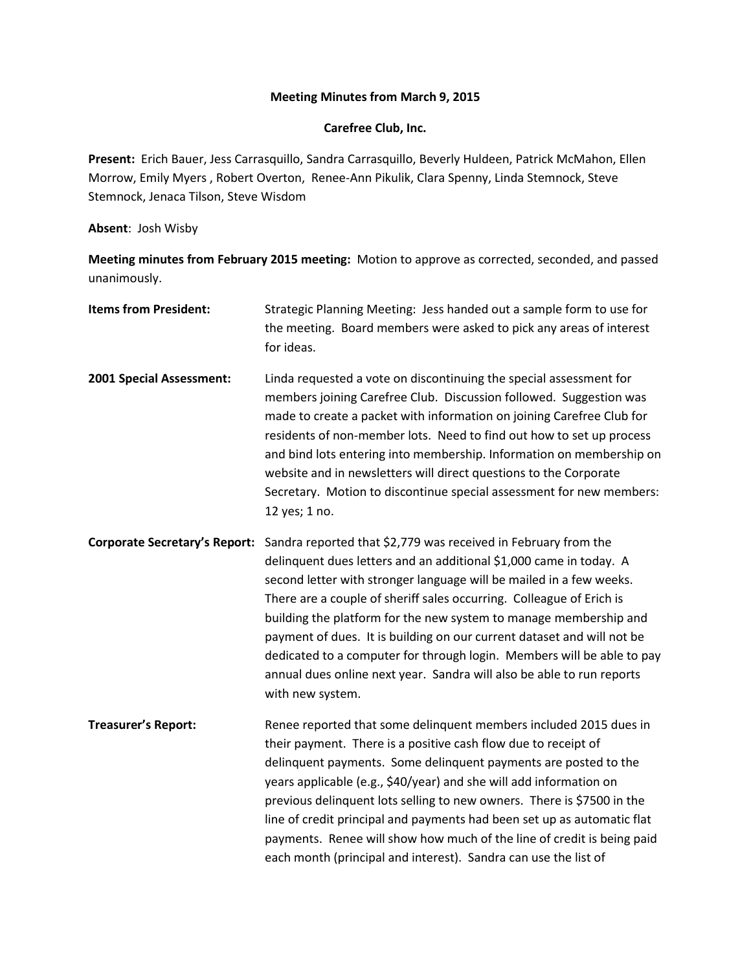## **Meeting Minutes from March 9, 2015**

## **Carefree Club, Inc.**

**Present:** Erich Bauer, Jess Carrasquillo, Sandra Carrasquillo, Beverly Huldeen, Patrick McMahon, Ellen Morrow, Emily Myers , Robert Overton, Renee-Ann Pikulik, Clara Spenny, Linda Stemnock, Steve Stemnock, Jenaca Tilson, Steve Wisdom

**Absent**: Josh Wisby

**Meeting minutes from February 2015 meeting:** Motion to approve as corrected, seconded, and passed unanimously.

| <b>Items from President:</b>         | Strategic Planning Meeting: Jess handed out a sample form to use for<br>the meeting. Board members were asked to pick any areas of interest<br>for ideas.                                                                                                                                                                                                                                                                                                                                                                                                                                                 |
|--------------------------------------|-----------------------------------------------------------------------------------------------------------------------------------------------------------------------------------------------------------------------------------------------------------------------------------------------------------------------------------------------------------------------------------------------------------------------------------------------------------------------------------------------------------------------------------------------------------------------------------------------------------|
| 2001 Special Assessment:             | Linda requested a vote on discontinuing the special assessment for<br>members joining Carefree Club. Discussion followed. Suggestion was<br>made to create a packet with information on joining Carefree Club for<br>residents of non-member lots. Need to find out how to set up process<br>and bind lots entering into membership. Information on membership on<br>website and in newsletters will direct questions to the Corporate<br>Secretary. Motion to discontinue special assessment for new members:<br>12 yes; 1 no.                                                                           |
| <b>Corporate Secretary's Report:</b> | Sandra reported that \$2,779 was received in February from the<br>delinquent dues letters and an additional \$1,000 came in today. A<br>second letter with stronger language will be mailed in a few weeks.<br>There are a couple of sheriff sales occurring. Colleague of Erich is<br>building the platform for the new system to manage membership and<br>payment of dues. It is building on our current dataset and will not be<br>dedicated to a computer for through login. Members will be able to pay<br>annual dues online next year. Sandra will also be able to run reports<br>with new system. |
| <b>Treasurer's Report:</b>           | Renee reported that some delinquent members included 2015 dues in<br>their payment. There is a positive cash flow due to receipt of<br>delinquent payments. Some delinquent payments are posted to the<br>years applicable (e.g., \$40/year) and she will add information on<br>previous delinquent lots selling to new owners. There is \$7500 in the<br>line of credit principal and payments had been set up as automatic flat<br>payments. Renee will show how much of the line of credit is being paid<br>each month (principal and interest). Sandra can use the list of                            |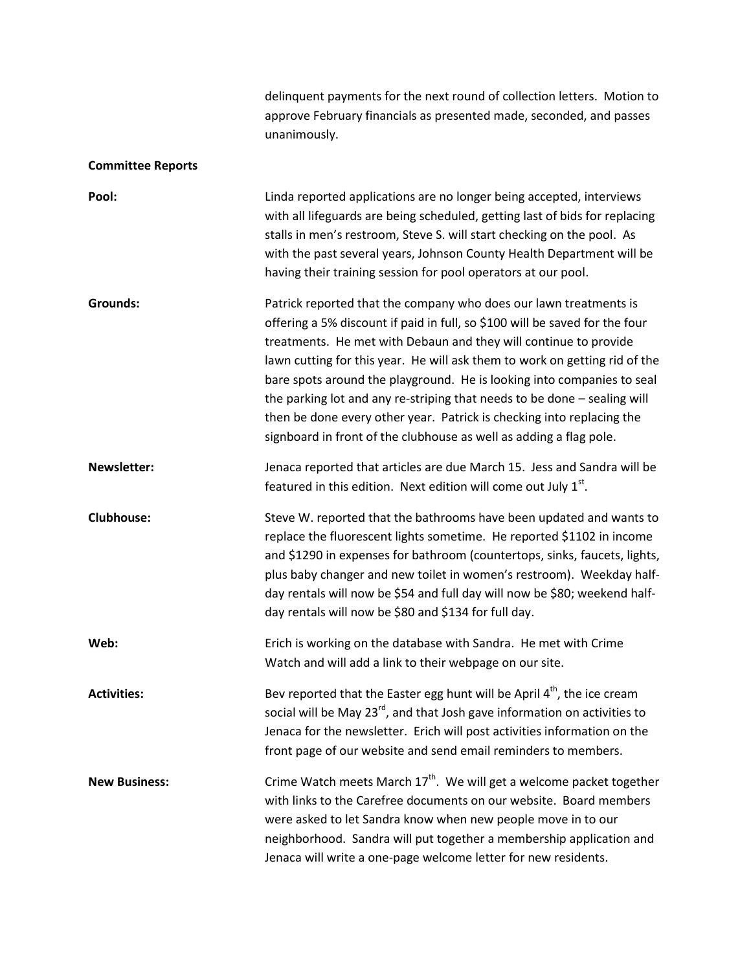|                          | delinquent payments for the next round of collection letters. Motion to<br>approve February financials as presented made, seconded, and passes<br>unanimously.                                                                                                                                                                                                                                                                                                                                                                                                                                          |
|--------------------------|---------------------------------------------------------------------------------------------------------------------------------------------------------------------------------------------------------------------------------------------------------------------------------------------------------------------------------------------------------------------------------------------------------------------------------------------------------------------------------------------------------------------------------------------------------------------------------------------------------|
| <b>Committee Reports</b> |                                                                                                                                                                                                                                                                                                                                                                                                                                                                                                                                                                                                         |
| Pool:                    | Linda reported applications are no longer being accepted, interviews<br>with all lifeguards are being scheduled, getting last of bids for replacing<br>stalls in men's restroom, Steve S. will start checking on the pool. As<br>with the past several years, Johnson County Health Department will be<br>having their training session for pool operators at our pool.                                                                                                                                                                                                                                 |
| <b>Grounds:</b>          | Patrick reported that the company who does our lawn treatments is<br>offering a 5% discount if paid in full, so \$100 will be saved for the four<br>treatments. He met with Debaun and they will continue to provide<br>lawn cutting for this year. He will ask them to work on getting rid of the<br>bare spots around the playground. He is looking into companies to seal<br>the parking lot and any re-striping that needs to be done - sealing will<br>then be done every other year. Patrick is checking into replacing the<br>signboard in front of the clubhouse as well as adding a flag pole. |
| <b>Newsletter:</b>       | Jenaca reported that articles are due March 15. Jess and Sandra will be<br>featured in this edition. Next edition will come out July $1st$ .                                                                                                                                                                                                                                                                                                                                                                                                                                                            |
| <b>Clubhouse:</b>        | Steve W. reported that the bathrooms have been updated and wants to<br>replace the fluorescent lights sometime. He reported \$1102 in income<br>and \$1290 in expenses for bathroom (countertops, sinks, faucets, lights,<br>plus baby changer and new toilet in women's restroom). Weekday half-<br>day rentals will now be \$54 and full day will now be \$80; weekend half-<br>day rentals will now be \$80 and \$134 for full day.                                                                                                                                                                  |
| Web:                     | Erich is working on the database with Sandra. He met with Crime<br>Watch and will add a link to their webpage on our site.                                                                                                                                                                                                                                                                                                                                                                                                                                                                              |
| <b>Activities:</b>       | Bev reported that the Easter egg hunt will be April $4th$ , the ice cream<br>social will be May 23 <sup>rd</sup> , and that Josh gave information on activities to<br>Jenaca for the newsletter. Erich will post activities information on the<br>front page of our website and send email reminders to members.                                                                                                                                                                                                                                                                                        |
| <b>New Business:</b>     | Crime Watch meets March 17 <sup>th</sup> . We will get a welcome packet together<br>with links to the Carefree documents on our website. Board members<br>were asked to let Sandra know when new people move in to our<br>neighborhood. Sandra will put together a membership application and<br>Jenaca will write a one-page welcome letter for new residents.                                                                                                                                                                                                                                         |